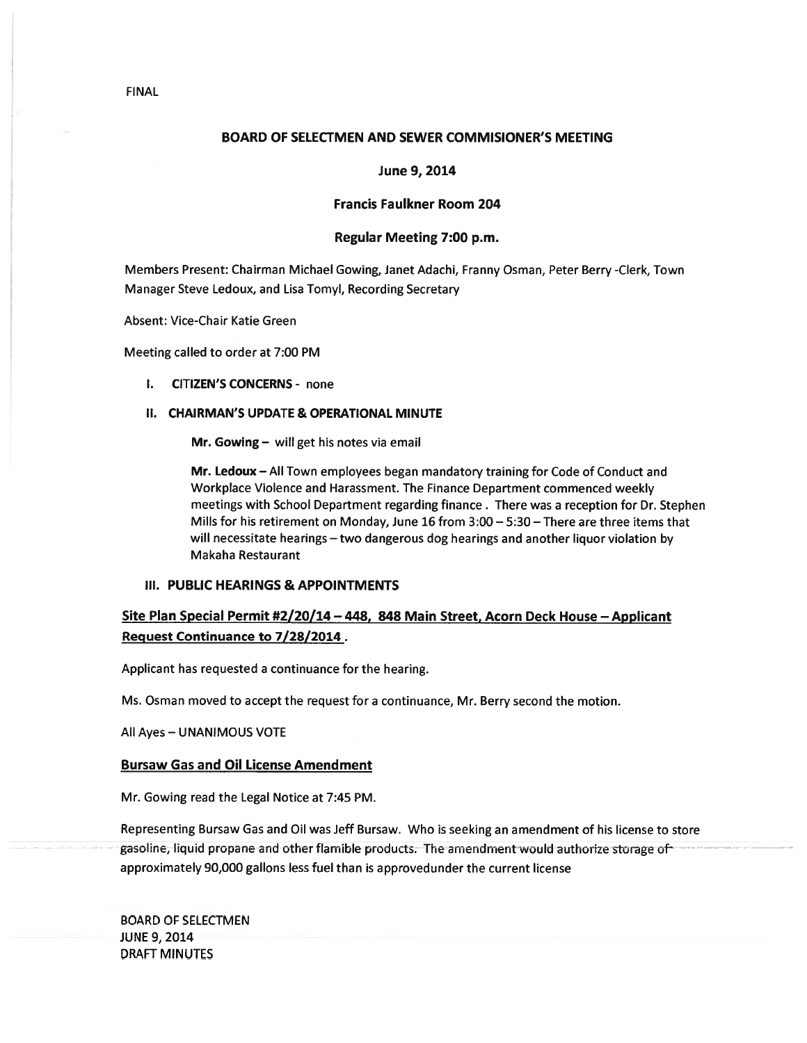# BOARD OF SELECTMEN AND SEWER COMMISIONER'S MEETING

# June 9, 2014

# Francis Faulkner Room 204

# Regular Meeting 7:00 p.m.

Members Present: Chairman Michael Gowing, Janet Adachi, Franny Osman, Peter Berry -Clerk, Town Manager Steve Ledoux, and Lisa Tomyl, Recording Secretary

Absent: Vice-Chair Katie Green

Meeting called to order at 7:00 PM

I. CITIZEN'S CONCERNS - none

# II. CHAIRMAN'S UPDATE & OPERATIONAL MINUTE

Mr. Gowing — will ge<sup>t</sup> his notes via email

Mr. Ledoux — All Town employees began mandatory training for Code of Conduct and Workplace Violence and Harassment. The Finance Department commenced weekly meetings with School Department regarding finance. There was <sup>a</sup> reception for Dr. Stephen Mills for his retirement on Monday, June 16 from 3:00 — 5:30 — There are three items that will necessitate hearings — two dangerous dog hearings and another liquor violation by Makaha Restaurant

# III. PUBLIC HEARINGS & APPOINTMENTS

# Site Plan Special Permit #2/20/14 — 448, 848 Main Street, Acorn Deck House — Applicant Request Continuance to 7/28/2014.

Applicant has requested <sup>a</sup> continuance for the hearing.

Ms. Osman moved to accep<sup>t</sup> the reques<sup>t</sup> for <sup>a</sup> continuance, Mr. Berry second the motion.

All Ayes — UNANIMOUS VOTE

# Bursaw Gas and Oil License Amendment

Mr. Gowing read the Legal Notice at 7:45 PM.

Representing Bursaw Gas and Oil was Jeff Bursaw. Who is seeking an amendment of his license to store gasoline, liquid propane and other flamible products. The amendment would authorize storage of approximately 90,000 gallons less fuel than is approvedunder the current license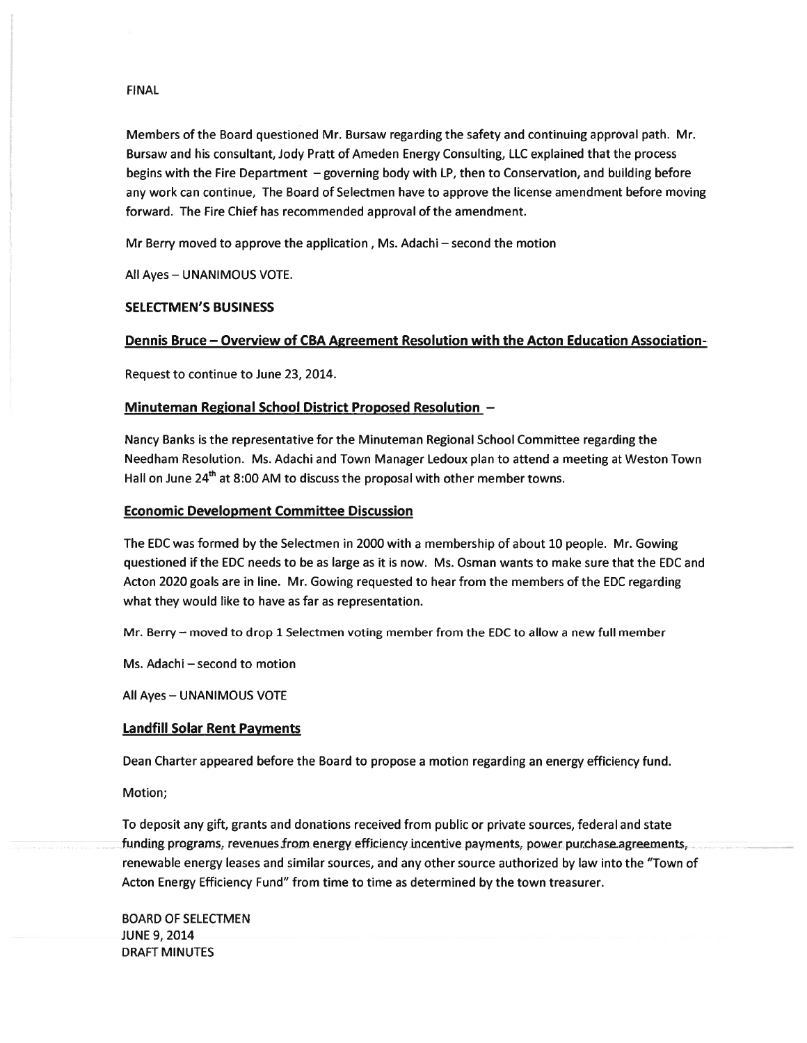Members of the Board questioned Mr. Bursaw regarding the safety and continuing approval path. Mr. Bursaw and his consultant, Jody Pratt of Ameden Energy Consulting, LLC explained that the process begins with the Fire Department — governing body with LP, then to Conservation, and building before any work can continue, The Board of Selectmen have to approve the license amendment before moving forward. The Fire Chief has recommended approval of the amendment.

Mr Berry moved to approve the application, Ms. Adachi — second the motion

All Ayes — UNANIMOUS VOTE.

# SELECTMEN'S BUSINESS

# Dennis Bruce — Overview of CBA Agreement Resolution with the Acton Education Association-

Request to continue to June 23, 2014.

# Minuteman Regional School District Proposed Resolution —

Nancy Banks is the representative for the Minuteman Regional School Committee regarding the Needham Resolution. Ms. Adachi and Town Manager Ledoux plan to attend <sup>a</sup> meeting at Weston Town Hall on June  $24<sup>th</sup>$  at 8:00 AM to discuss the proposal with other member towns.

# Economic Development Committee Discussion

The EDC was formed by the Selectmen in 2000 with <sup>a</sup> membership of about 10 people. Mr. Gowing questioned if the EDC needs to be as large as it is now. Ms. Osman wants to make sure that the EDC and Acton 2020 goals are in line. Mr. Gowing requested to hear from the members of the EDC regarding what they would like to have as far as representation.

Mr. Berry — moved to drop 1 Selectmen voting member from the EDC to allow <sup>a</sup> new full member

Ms. Adachi — second to motion

All Ayes — UNANIMOUS VOTE

# Landfill Solar Rent Payments

Dean Charter appeared before the Board to propose <sup>a</sup> motion regarding an energy efficiency fund.

Motion;

To deposit any gift, grants and donations received from public or private sources, federal and state funding programs, revenues from energy efficiency incentive payments, power purchase agreements, renewable energy leases and similar sources, and any other source authorized by law into the "Town of Acton Energy Efficiency Fund" from time to time as determined by the town treasurer.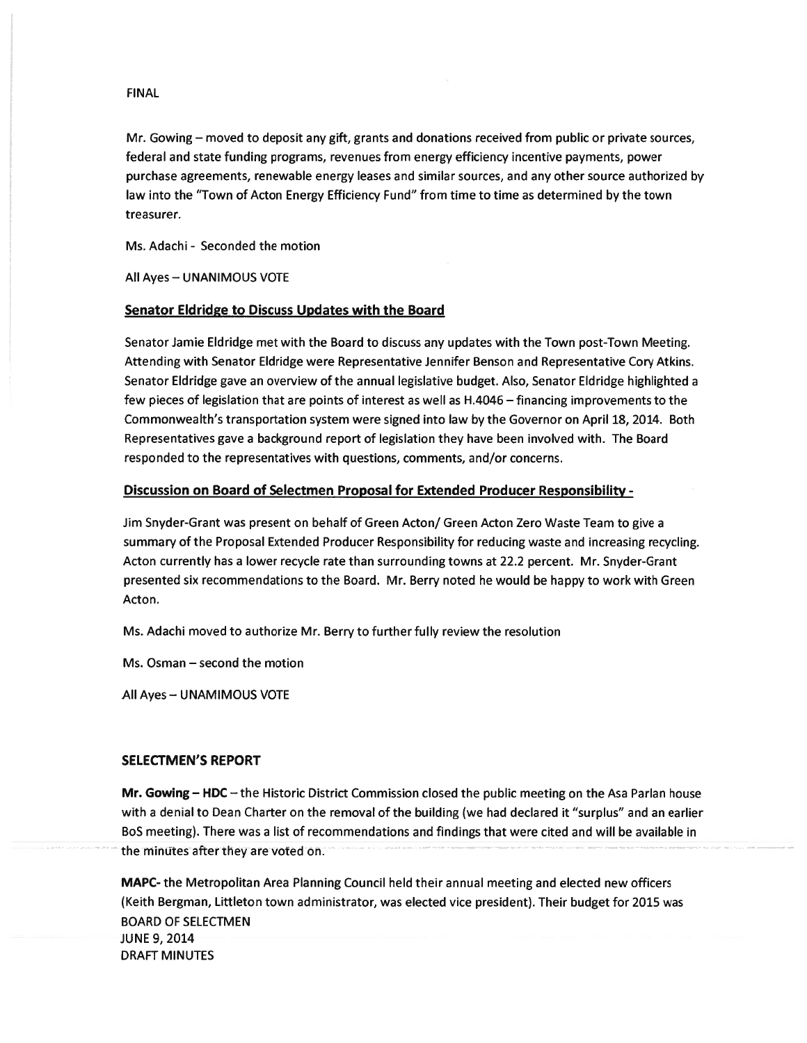Mr. Gowing — moved to deposit any gift, grants and donations received from public or private sources, federal and state funding programs, revenues from energy efficiency incentive payments, power purchase agreements, renewable energy leases and similar sources, and any other source authorized by law into the "Town of Acton Energy Efficiency Fund" from time to time as determined by the town treasurer.

Ms. Adachi - Seconded the motion

All Ayes — UNANIMOUS VOTE

# Senator Eldridge to Discuss Updates with the Board

Senator Jamie Eldridge met with the Board to discuss any updates with the Town post-Town Meeting. Attending with Senator Eldridge were Representative Jennifer Benson and Representative Cory Atkins. Senator Eldridge gave an overview of the annual legislative budget. Also, Senator Eldridge highlighted <sup>a</sup> few pieces of legislation that are points of interest as well as H.4046 — financing improvements to the Commonwealth's transportation system were signed into law by the Governor on April 18, 2014. Both Representatives gave <sup>a</sup> background repor<sup>t</sup> of legislation they have been involved with. The Board responded to the representatives with questions, comments, and/or concerns.

# Discussion on Board of Selectmen Proposal for Extended Producer Responsibility -

Jim Snyder-Grant was presen<sup>t</sup> on behalf of Green Acton/ Green Acton Zero Waste Team to give <sup>a</sup> summary of the Proposal Extended Producer Responsibility for reducing waste and increasing recycling. Acton currently has <sup>a</sup> lower recycle rate than surrounding towns at 22.2 percent. Mr. Snyder-Grant presented six recommendations to the Board. Mr. Berry noted he would be happy to work with Green Acton.

Ms. Adachi moved to authorize Mr. Berry to further fully review the resolution

Ms. Osman — second the motion

All Ayes — UNAMIMOUS VOTE

#### SELECTMEN'S REPORT

Mr. Gowing — HDC — the Historic District Commission closed the public meeting on the Asa Parlan house with <sup>a</sup> denial to Dean Charter on the removal of the building (we had declared it "surplus" and an earlier BoS meeting). There was <sup>a</sup> list of recommendations and findings that were cited and will be available in the minutes after they are voted on.

MAPC- the Metropolitan Area Planning Council held their annual meeting and elected new officers (Keith Bergman, Littleton town administrator, was elected vice president). Their budget for 2015 was BOARD OF SELECTMEN JUNE 9, 2014 DRAFT MINUTES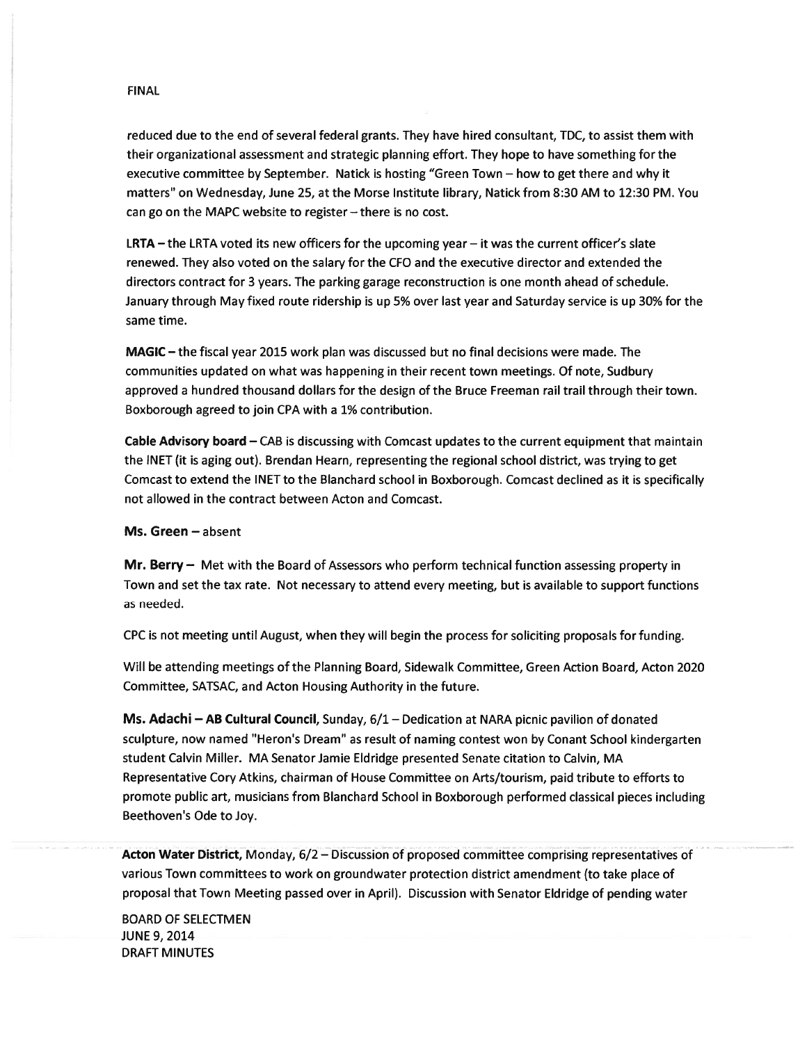reduced due to the end of several federal grants. They have hired consultant, TDC, to assist them with their organizational assessment and strategic planning effort. They hope to have something for the executive committee by September. Natick is hosting "Green Town — how to ge<sup>t</sup> there and why it matters" on Wednesday, June 25, at the Morse Institute library, Natick from 8:30 AM to 12:30 PM. You can go on the MAPC website to register—there is no cost.

**LRTA** – the LRTA voted its new officers for the upcoming year – it was the current officer's slate renewed. They also voted on the salary for the CFO and the executive director and extended the directors contract for 3 years. The parking garage reconstruction is one month ahead of schedule. January through May fixed route ridership is up 5% over last year and Saturday service is up 30% for the same time.

MAGIC — the fiscal year 2015 work plan was discussed but no final decisions were made. The communities updated on what was happening in their recent town meetings. Of note, Sudbury approved <sup>a</sup> hundred thousand dollars for the design of the Bruce Freeman rail trail through their town. Boxborough agreed to join CPA with <sup>a</sup> 1% contribution.

Cable Advisory board — CAB is discussing with Comcast updates to the current equipment that maintain the INET (it is aging out). Brendan Hearn, representing the regional school district, was trying to ge<sup>t</sup> Comcast to extend the INET to the Blanchard school in Boxborough. Comcast declined as it is specifically not allowed in the contract between Acton and Comcast.

# Ms. Green — absent

Mr. Berry - Met with the Board of Assessors who perform technical function assessing property in Town and set the tax rate. Not necessary to attend every meeting, but is available to suppor<sup>t</sup> functions as needed.

CPC is not meeting until August, when they will begin the process for soliciting proposals for funding.

Will be attending meetings of the Planning Board, Sidewalk Committee, Green Action Board, Acton 2020 Committee, SATSAC, and Acton Housing Authority in the future.

Ms. Adachi — AB Cultural Council, Sunday, 6/1 — Dedication at NARA picnic pavilion of donated sculpture, now named "Heron's Dream" as result of naming contest won by Conant School kindergarten student Calvin Miller. MA Senator Jamie Eldridge presented Senate citation to Calvin, MA Representative Cory Atkins, chairman of House Committee on Arts/tourism, paid tribute to efforts to promote public art, musicians from Blanchard School in Boxborough performed classical pieces including Beethoven's Ode to Joy.

Acton Water District, Monday, 6/2 – Discussion of proposed committee comprising representatives of various Town committees to work on groundwater protection district amendment (to take place of proposal that Town Meeting passed over in April). Discussion with Senator Eldridge of pending water

BOARD OF SELECTMEN JUNE 9, 2014 DRAFT MINUTES

## FINAL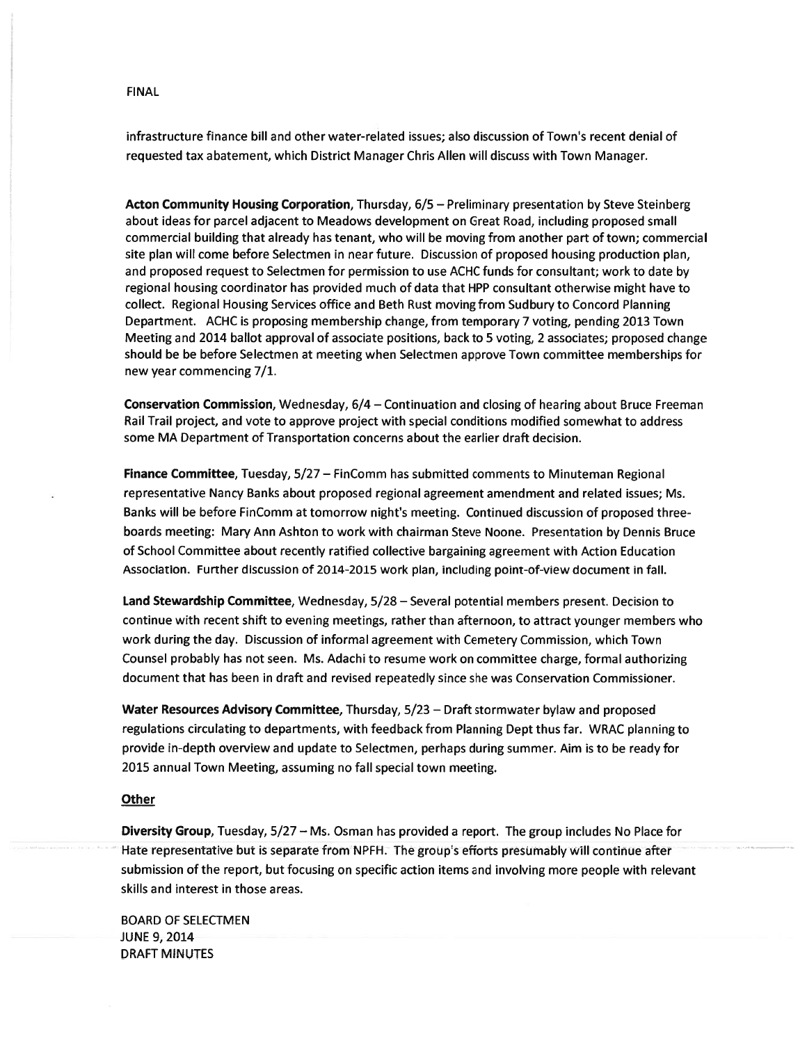infrastructure finance bill and other water-related issues; also discussion of Town's recent denial of requested tax abatement, which District Manager Chris Allen will discuss with Town Manager.

Acton Community Housing Corporation, Thursday, 6/5 — Preliminary presentation by Steve Steinberg about ideas for parcel adjacent to Meadows development on Great Road, including proposed small commercial building that already has tenant, who will be moving from another par<sup>t</sup> of town; commercial site plan will come before Selectmen in near future. Discussion of proposed housing production plan, and proposed reques<sup>t</sup> to Selectmen for permission to use ACHC funds for consultant; work to date by regional housing coordinator has provided much of data that HPP consultant otherwise might have to collect. Regional Housing Services office and Beth Rust moving from Sudbury to Concord Planning Department. ACHC is proposing membership change, from temporary 7 voting, pending 2013 Town Meeting and 2014 ballot approval of associate positions, back to 5 voting, 2 associates; proposed change should be be before Selectmen at meeting when Selectmen approve Town committee memberships for new year commencing 7/1.

Conservation Commission, Wednesday, 6/4 — Continuation and closing of hearing about Bruce Freeman Rail Trail project, and vote to approve project with special conditions modified somewhat to address some MA Department of Transportation concerns about the earlier draft decision.

Finance Committee, Tuesday, 5/27 — FinComm has submitted comments to Minuteman Regional representative Nancy Banks about proposed regional agreemen<sup>t</sup> amendment and related issues; Ms. Banks will be before FinComm at tomorrow night's meeting. Continued discussion of proposed threeboards meeting: Mary Ann Ashton to work with chairman Steve Noone. Presentation by Dennis Bruce of School Committee about recently ratified collective bargaining agreemen<sup>t</sup> with Action Education Association. Further discussion of 2014-2015 work plan, including point-of-view document in fall.

Land Stewardship Committee, Wednesday, 5/28 — Several potential members present. Decision to continue with recent shift to evening meetings, rather than afternoon, to attract younger members who work during the day. Discussion of informal agreemen<sup>t</sup> with Cemetery Commission, which Town Counsel probably has not seen. Ms. Adachi to resume work on committee charge, formal authorizing document that has been in draft and revised repeatedly since she was Conservation Commissioner.

Water Resources Advisory Committee, Thursday, 5/23 - Draft stormwater bylaw and proposed regulations circulating to departments, with feedback from Planning Dept thus far. WRAC planning to provide in-depth overview and update to Selectmen, perhaps during summer. Aim is to be ready for 2015 annual Town Meeting, assuming no fall special town meeting.

### **Other**

Diversity Group, Tuesday, 5/27 — Ms. Osman has provided <sup>a</sup> report. The group includes No Place for Hate representative but is separate from NPFH. The group's efforts presumably will continue after submission of the report, but focusing on specific action items and involving more people with relevant skills and interest in those areas.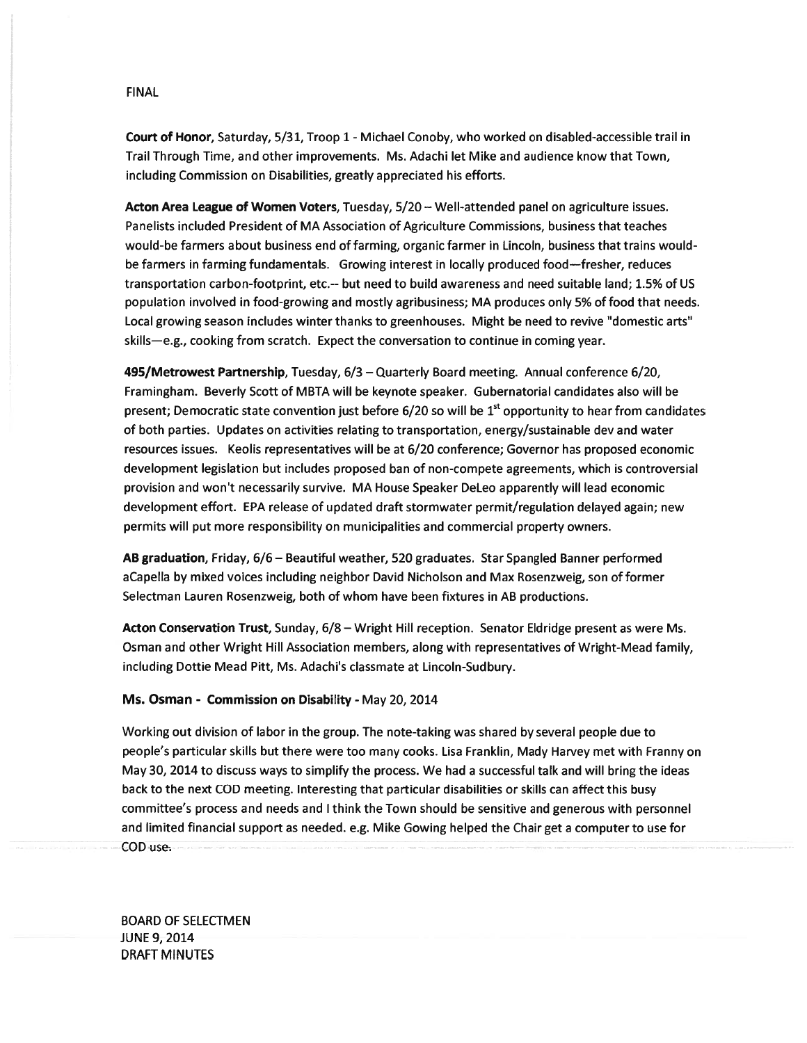Court of Honor, Saturday, 5/31, Troop 1 - Michael Conoby, who worked on disabled-accessible trail in Trail Through Time, and other improvements. Ms. Adachi let Mike and audience know that Town, including Commission on Disabilities, greatly appreciated his efforts.

Acton Area League of Women Voters, Tuesday, 5/20 — Well-attended panel on agriculture issues. Panelists included President of MA Association of Agriculture Commissions, business that teaches would-be farmers about business end of farming, organic farmer in Lincoln, business that trains wouldbe farmers in farming fundamentals. Growing interest in locally produced food—fresher, reduces transportation carbon-footprint, etc.-- but need to build awareness and need suitable land; 1.5% of US population involved in food-growing and mostly agribusiness; MA produces only 5% of food that needs. Local growing season includes winter thanks to greenhouses. Might be need to revive "domestic arts" skills—e.g., cooking from scratch. Expect the conversation to continue in coming year.

495/Metrowest Partnership, Tuesday, 6/3 — Quarterly Board meeting. Annual conference 6/20, Framingham. Beverly Scott of MBTA will be keynote speaker. Gubernatorial candidates also will be present; Democratic state convention just before 6/20 so will be 1<sup>st</sup> opportunity to hear from candidates of both parties. Updates on activities relating to transportation, energy/sustainable dev and water resources issues. Keolis representatives will be at 6/20 conference; Governor has proposed economic development legislation but includes proposed ban of non-compete agreements, which is controversial provision and won't necessarily survive. MA House Speaker DeLeo apparently will lead economic development effort. EPA release of updated draft stormwater permit/regulation delayed again; new permits will pu<sup>t</sup> more responsibility on municipalities and commercial property owners.

AB graduation, Friday, 6/6 — Beautiful weather, 520 graduates. Star Spangled Banner performed aCapella by mixed voices including neighbor David Nicholson and Max Rosenzweig, son of former Selectman Lauren Rosenzweig, both of whom have been fixtures in AB productions.

Acton Conservation Trust, Sunday, 6/8 – Wright Hill reception. Senator Eldridge present as were Ms. Osman and other Wright Hill Association members, along with representatives of Wright-Mead family, including Dottie Mead Pitt, Ms. Adachi's classmate at Lincoln-Sudbury.

# Ms. Osman - Commission on Disability - May 20, 2014

Working out division of labor in the group. The note-taking was shared by several people due to people's particular skills but there were too many cooks. Lisa Franklin, Mady Harvey met with Franny on May 30, 2014 to discuss ways to simplify the process. We had <sup>a</sup> successful talk and will bring the ideas back to the next COD meeting. Interesting that particular disabilities or skills can affect this busy committee's process and needs and <sup>I</sup> think the Town should be sensitive and generous with personnel and limited financial suppor<sup>t</sup> as needed. e.g. Mike Gowing helped the Chair ge<sup>t</sup> <sup>a</sup> computer to use for COD use.

BOARD OF SELECTMEN JUNE 9, 2014 DRAFT MINUTES

### FINAL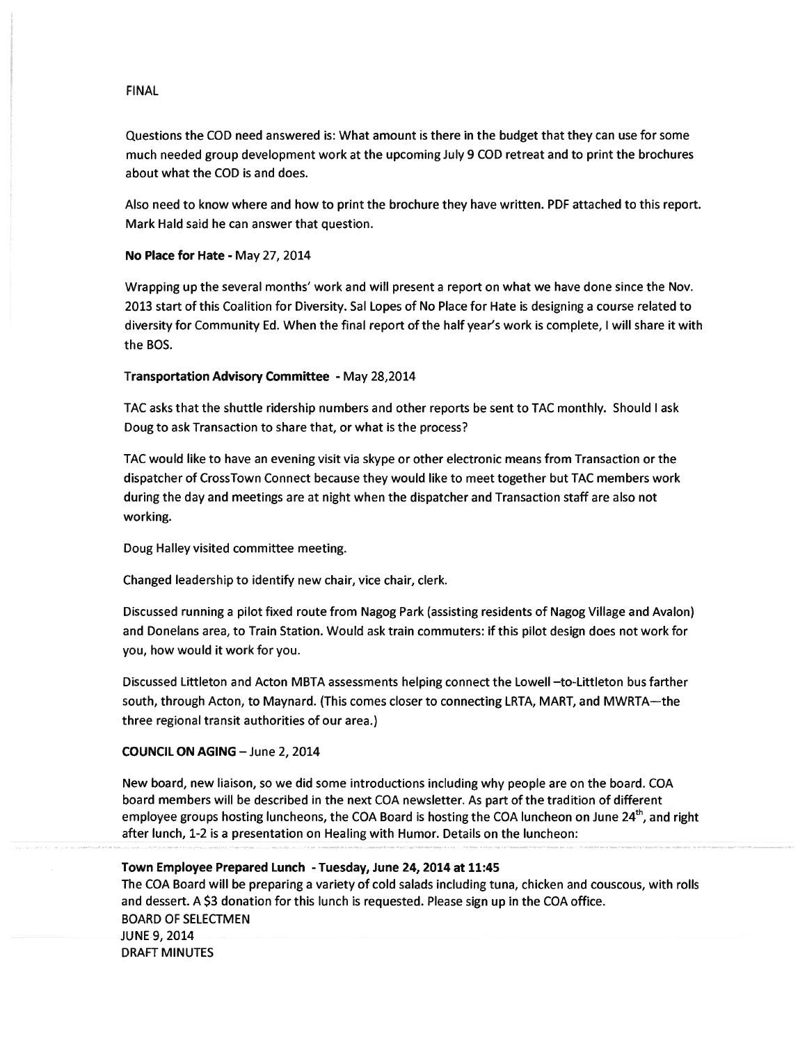Questions the COD need answered is: What amount is there in the budget that they can use for some much needed group development work at the upcoming July 9 COD retreat and to print the brochures about what the COD is and does.

Also need to know where and how to print the brochure they have written. PDF attached to this report. Mark Hald said he can answer that question.

#### No Place for Hate - May 27, 2014

Wrapping up the several months' work and will presen<sup>t</sup> <sup>a</sup> repor<sup>t</sup> on what we have done since the Nov. 2013 start of this Coalition for Diversity. Sal Lopes of No Place for Hate is designing <sup>a</sup> course related to diversity for Community Ed. When the final repor<sup>t</sup> of the half year's work is complete, I will share it with the BOS. FINAL<br>
Guestitions the COD need answered is : What amount is there in the budget that they can use for some<br>
much needed group development work at the upcoming July 9 COD retrest and to print the brochures<br>
about multi-BC RNAL<br>
alcustions the COD need amivered is White amount is there in the bridget that they can use for some<br>
auch needed group development work at the upcoming July 9 COD retreat and to print the brochures<br>
about what the C

# Transportation Advisory Committee - May 28,2014

TAC asks that the shuttle ridership numbers and other reports be sent to TAC monthly. Should I ask Doug to ask Transaction to share that, or what is the process?

TAC would like to have an evening visit via skype or other electronic means from Transaction or the dispatcher of CrossTown Connect because they would like to meet together but TAC members work during the day and meetings are at night when the dispatcher and Transaction staff are also not working.

Doug Halley visited committee meeting.

Changed leadership to identify new chair, vice chair, clerk.

Discussed running <sup>a</sup> pilot fixed route from Nagog Park (assisting residents of Nagog Village and Avalon) and Donelans area, to Train Station. Would ask train commuters: if this pilot design does not work for you, how would it work for you.

Discussed Littleton and Acton MBTA assessments helping connect the Lowell —to-Littleton bus farther south, through Acton, to Maynard. (This comes closer to connecting LRTA, MART, and MWRTA—the three regional transit authorities of our area.)

# COUNCIL ON AGING —June 2, 2014

New board, new liaison, so we did some introductions including why people are on the board. COA board members will be described in the next COA newsletter. As par<sup>t</sup> of the tradition of different

## Town Employee Prepared Lunch -Tuesday, June 24, 2014 at 11:45

The COA Board will be preparing <sup>a</sup> variety of cold salads including tuna, chicken and couscous, with rolls and dessert. A \$3 donation for this lunch is requested. Please sign up in the COA office. BOARD OF SELECTMEN JUNE 9, 2014 DRAFT MINUTES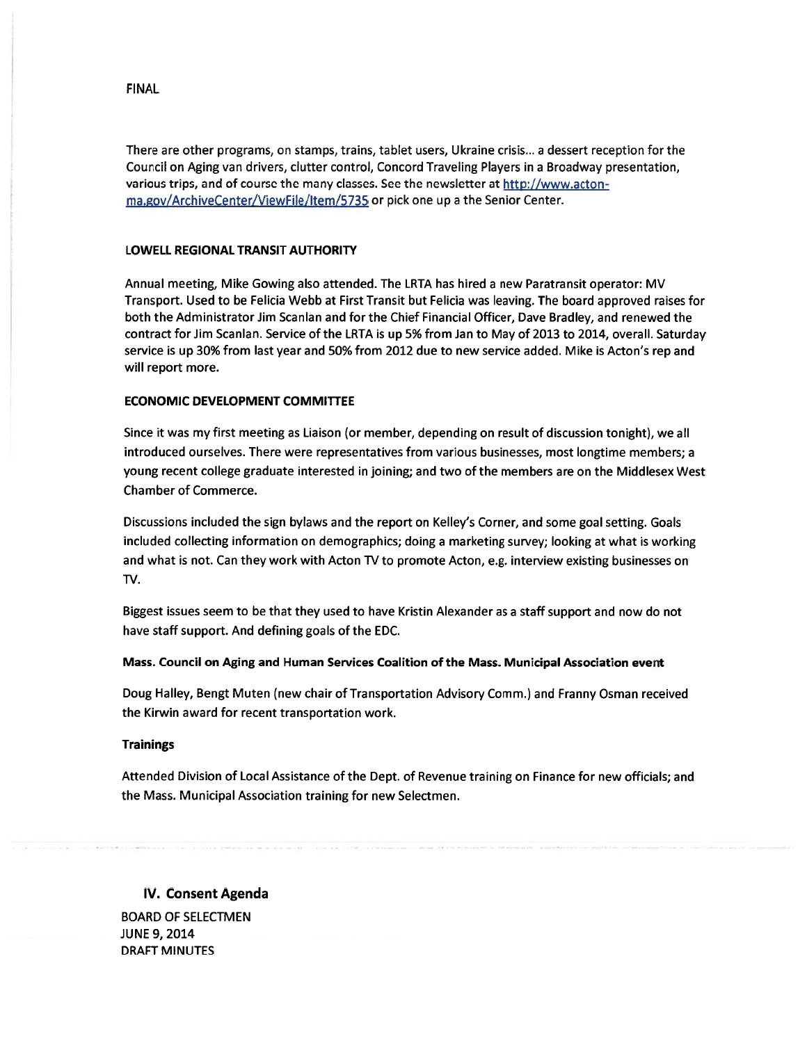There are other programs, on stamps, trains, tablet users, Ukraine crisis.., <sup>a</sup> dessert reception for the Council on Aging van drivers, clutter control, Concord Traveling Players in <sup>a</sup> Broadway presentation, various trips, and of course the many classes. See the newsletter at http://www.acton ma.gov/ArchiveCenter/Viewfile/ltem/5735 or <sup>p</sup>ick one up <sup>a</sup> the Senior Center.

#### LOWELL REGIONAL TRANSIT AUTHORITY

Annual meeting, Mike Gowing also attended. The LRTA has hired <sup>a</sup> new Paratransit operator: MV Transport. Used to be Felicia Webb at First Transit but Felicia was leaving. The board approved raises for both the Administrator Jim Scanlan and for the Chief Financial Officer, Dave Bradley, and renewed the contract for Jim Scanlan. Service of the LRTA is up 5% from Jan to May of 2013 to 2014, overall. Saturday service is up 30% from last year and 50% from 2012 due to new service added. Mike is Acton's rep and will repor<sup>t</sup> more.

### ECONOMIC DEVELOPMENT COMMITTEE

Since it was my first meeting as Liaison (or member, depending on result of discussion tonight), we all introduced ourselves. There were representatives from various businesses, most longtime members; <sup>a</sup> young recent college graduate interested in joining; and two of the members are on the Middlesex West Chamber of Commerce.

Discussions included the sign bylaws and the repor<sup>t</sup> on Kelley's Corner, and some goal setting. Goals included collecting information on demographics; doing <sup>a</sup> marketing survey; looking at what is working and what is not. Can they work with Acton TV to promote Acton, e.g. interview existing businesses on TV.

Biggest issues seem to be that they used to have Kristin Alexander as <sup>a</sup> staff suppor<sup>t</sup> and now do not have staff support. And defining goals of the EDC.

#### Mass. Council on Aging and Human Services Coalition of the Mass. Municipal Association event

Doug Halley, Bengt Muten (new chair of Transportation Advisory Comm.) and Franny Osman received the Kirwin award for recent transportation work.

# **Trainings**

Attended Division of Local Assistance of the Dept. of Revenue training on Finance for new officials; and the Mass. Municipal Association training for new Selectmen.

# IV. Consent Agenda